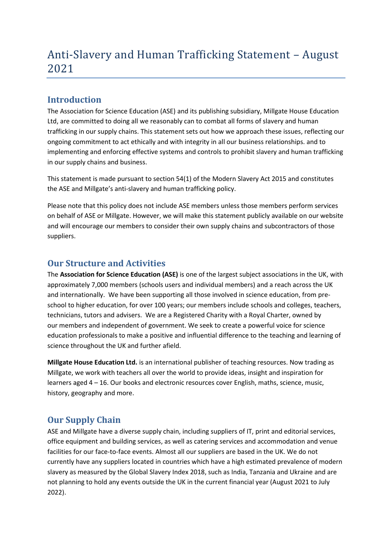# Anti-Slavery and Human Trafficking Statement – August 2021

### **Introduction**

The Association for Science Education (ASE) and its publishing subsidiary, Millgate House Education Ltd, are committed to doing all we reasonably can to combat all forms of slavery and human trafficking in our supply chains. This statement sets out how we approach these issues, reflecting our ongoing commitment to act ethically and with integrity in all our business relationships. and to implementing and enforcing effective systems and controls to prohibit slavery and human trafficking in our supply chains and business.

This statement is made pursuant to section 54(1) of the Modern Slavery Act 2015 and constitutes the ASE and Millgate's anti-slavery and human trafficking policy.

Please note that this policy does not include ASE members unless those members perform services on behalf of ASE or Millgate. However, we will make this statement publicly available on our website and will encourage our members to consider their own supply chains and subcontractors of those suppliers.

#### **Our Structure and Activities**

The **Association for Science Education (ASE)** is one of the largest subject associations in the UK, with approximately 7,000 members (schools users and individual members) and a reach across the UK and internationally. We have been supporting all those involved in science education, from preschool to higher education, for over 100 years; our members include schools and colleges, teachers, technicians, tutors and advisers. We are a Registered Charity with a Royal Charter, owned by our members and independent of government. We seek to create a powerful voice for science education professionals to make a positive and influential difference to the teaching and learning of science throughout the UK and further afield.

**Millgate House Education Ltd.** is an international publisher of teaching resources. Now trading as Millgate, we work with teachers all over the world to provide ideas, insight and inspiration for learners aged 4 – 16. Our books and electronic resources cover English, maths, science, music, history, geography and more.

## **Our Supply Chain**

ASE and Millgate have a diverse supply chain, including suppliers of IT, print and editorial services, office equipment and building services, as well as catering services and accommodation and venue facilities for our face-to-face events. Almost all our suppliers are based in the UK. We do not currently have any suppliers located in countries which have a high estimated prevalence of modern slavery as measured by the Global Slavery Index 2018, such as India, Tanzania and Ukraine and are not planning to hold any events outside the UK in the current financial year (August 2021 to July 2022).